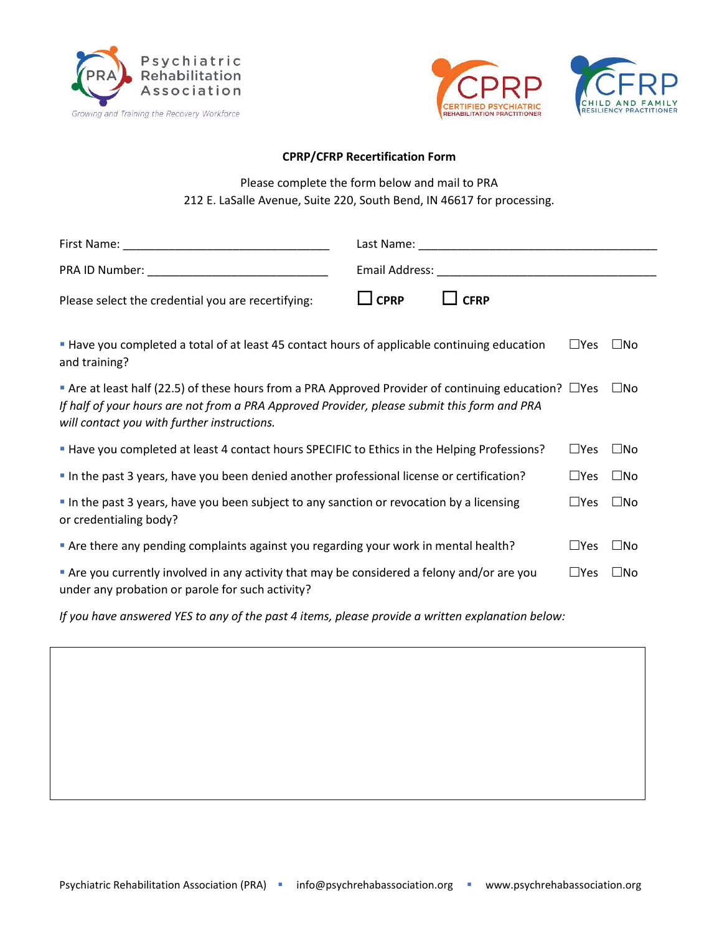



## **CPRP/CFRP Recertification Form**

Please complete the form below and mail to PRA 212 E. LaSalle Avenue, Suite 220, South Bend, IN 46617 for processing.

|                                                                                                                                                                                                                                                                        | Last Name: Name and Separate and Separate and Separate and Separate and Separate and Separate and Separate and |               |              |  |  |
|------------------------------------------------------------------------------------------------------------------------------------------------------------------------------------------------------------------------------------------------------------------------|----------------------------------------------------------------------------------------------------------------|---------------|--------------|--|--|
|                                                                                                                                                                                                                                                                        |                                                                                                                |               |              |  |  |
| Please select the credential you are recertifying:                                                                                                                                                                                                                     | $\Box$ CPRP<br><b>CFRP</b>                                                                                     |               |              |  |  |
| <b>Have you completed a total of at least 45 contact hours of applicable continuing education</b><br>$\square$ Yes<br>$\square$ No<br>and training?                                                                                                                    |                                                                                                                |               |              |  |  |
| Are at least half (22.5) of these hours from a PRA Approved Provider of continuing education? $\Box$ Yes<br>$\square$ No<br>If half of your hours are not from a PRA Approved Provider, please submit this form and PRA<br>will contact you with further instructions. |                                                                                                                |               |              |  |  |
| " Have you completed at least 4 contact hours SPECIFIC to Ethics in the Helping Professions?                                                                                                                                                                           |                                                                                                                | $\Box$ Yes    | $\square$ No |  |  |
| " In the past 3 years, have you been denied another professional license or certification?                                                                                                                                                                             |                                                                                                                |               | $\square$ No |  |  |
| In the past 3 years, have you been subject to any sanction or revocation by a licensing<br>or credentialing body?                                                                                                                                                      |                                                                                                                | $\square$ Yes | $\square$ No |  |  |
| " Are there any pending complaints against you regarding your work in mental health?                                                                                                                                                                                   |                                                                                                                | $\square$ Yes | $\square$ No |  |  |
| Are you currently involved in any activity that may be considered a felony and/or are you<br>under any probation or parole for such activity?                                                                                                                          |                                                                                                                | $\square$ Yes | $\square$ No |  |  |

*If you have answered YES to any of the past 4 items, please provide a written explanation below:*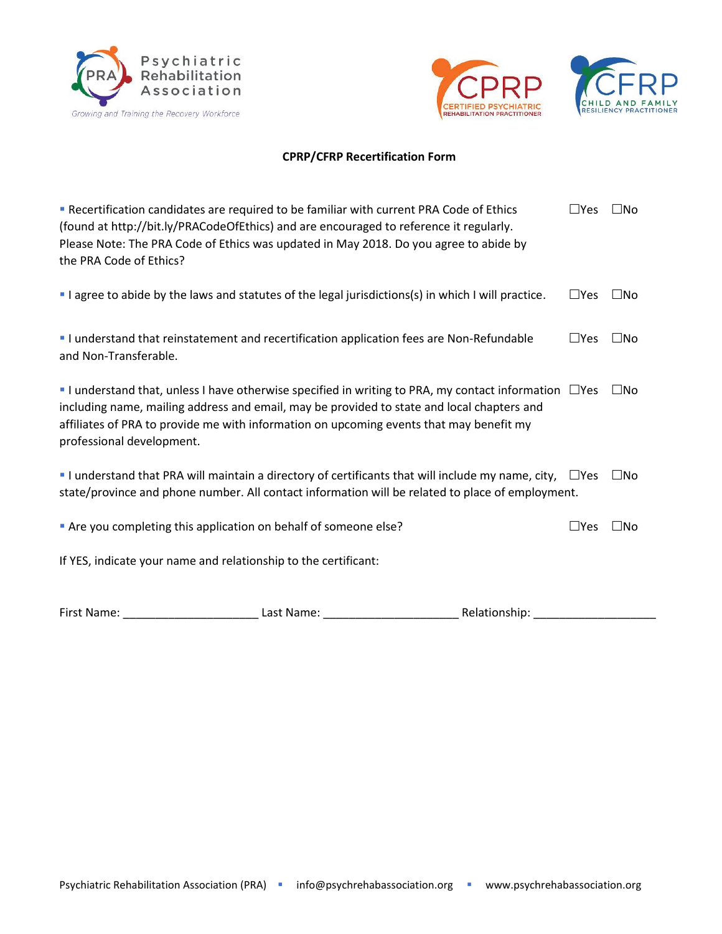





## **CPRP/CFRP Recertification Form**

| Recertification candidates are required to be familiar with current PRA Code of Ethics<br>(found at http://bit.ly/PRACodeOfEthics) and are encouraged to reference it regularly.<br>Please Note: The PRA Code of Ethics was updated in May 2018. Do you agree to abide by<br>the PRA Code of Ethics?                            | $\Box$ Yes   | $\square$ No |
|---------------------------------------------------------------------------------------------------------------------------------------------------------------------------------------------------------------------------------------------------------------------------------------------------------------------------------|--------------|--------------|
| I agree to abide by the laws and statutes of the legal jurisdictions(s) in which I will practice.                                                                                                                                                                                                                               | $\Box$ Yes   | $\square$ No |
| I understand that reinstatement and recertification application fees are Non-Refundable<br>and Non-Transferable.                                                                                                                                                                                                                | $\Box$ Yes   | $\Box$ No    |
| I understand that, unless I have otherwise specified in writing to PRA, my contact information $\Box$ Yes<br>including name, mailing address and email, may be provided to state and local chapters and<br>affiliates of PRA to provide me with information on upcoming events that may benefit my<br>professional development. |              | $\square$ No |
| I understand that PRA will maintain a directory of certificants that will include my name, city, $\Box$ Yes<br>state/province and phone number. All contact information will be related to place of employment.                                                                                                                 |              | $\square$ No |
| " Are you completing this application on behalf of someone else?                                                                                                                                                                                                                                                                | $\sqcup$ Yes | $\square$ No |
| If YES, indicate your name and relationship to the certificant:                                                                                                                                                                                                                                                                 |              |              |

First Name: \_\_\_\_\_\_\_\_\_\_\_\_\_\_\_\_\_\_\_\_\_ Last Name: \_\_\_\_\_\_\_\_\_\_\_\_\_\_\_\_\_\_\_\_\_ Relationship: \_\_\_\_\_\_\_\_\_\_\_\_\_\_\_\_\_\_\_